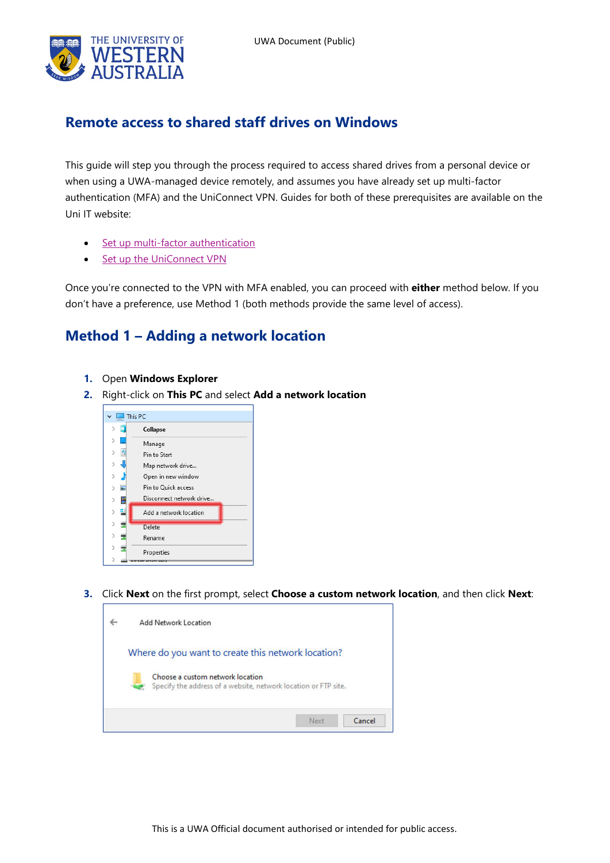

## **Remote access to shared staff drives on Windows**

This guide will step you through the process required to access shared drives from a personal device or when using a UWA-managed device remotely, and assumes you have already set up multi-factor authentication (MFA) and the UniConnect VPN. Guides for both of these prerequisites are available on the Uni IT website:

- [Set up multi-factor authentication](https://www.it.uwa.edu.au/it-help/staff-all/mfa)
- [Set up the UniConnect VPN](https://www.it.uwa.edu.au/it-help/access/uniconnect)

Once you're connected to the VPN with MFA enabled, you can proceed with **either** method below. If you don't have a preference, use Method 1 (both methods provide the same level of access).

## **Method 1 – Adding a network location**

- **1.** Open **Windows Explorer**
- **2.** Right-click on **This PC** and select **Add a network location**



**3.** Click **Next** on the first prompt, select **Choose a custom network location**, and then click **Next**:

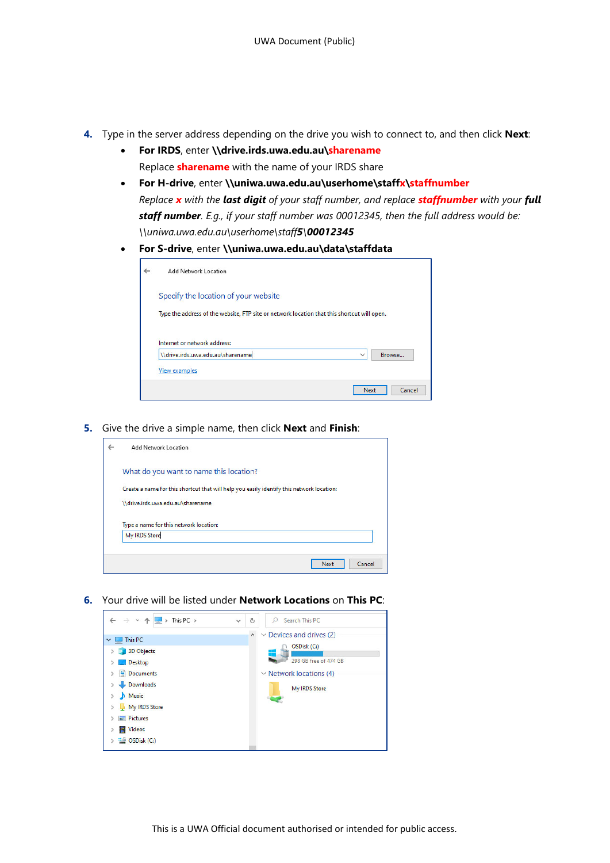- **4.** Type in the server address depending on the drive you wish to connect to, and then click **Next**:
	- **For IRDS**, enter **\\drive.irds.uwa.edu.au\sharename** Replace **sharename** with the name of your IRDS share
	- **For H-drive**, enter **\\uniwa.uwa.edu.au\userhome\staffx\staffnumber** *Replace x with the last digit of your staff number, and replace staffnumber with your full staff number. E.g., if your staff number was 00012345, then the full address would be: \\uniwa.uwa.edu.au\userhome\staff5\00012345*
	- **For S-drive**, enter **\\uniwa.uwa.edu.au\data\staffdata**

| <b>Add Network Location</b>                                                                 |
|---------------------------------------------------------------------------------------------|
| Specify the location of your website                                                        |
| Type the address of the website, FTP site or network location that this shortcut will open. |
| Internet or network address:                                                                |
| \\drive.irds.uwa.edu.au\sharename<br>Browse<br>$\checkmark$                                 |
| <b>View examples</b>                                                                        |
| Cancel<br><b>Next</b>                                                                       |

**5.** Give the drive a simple name, then click **Next** and **Finish**:



**6.** Your drive will be listed under **Network Locations** on **This PC**:

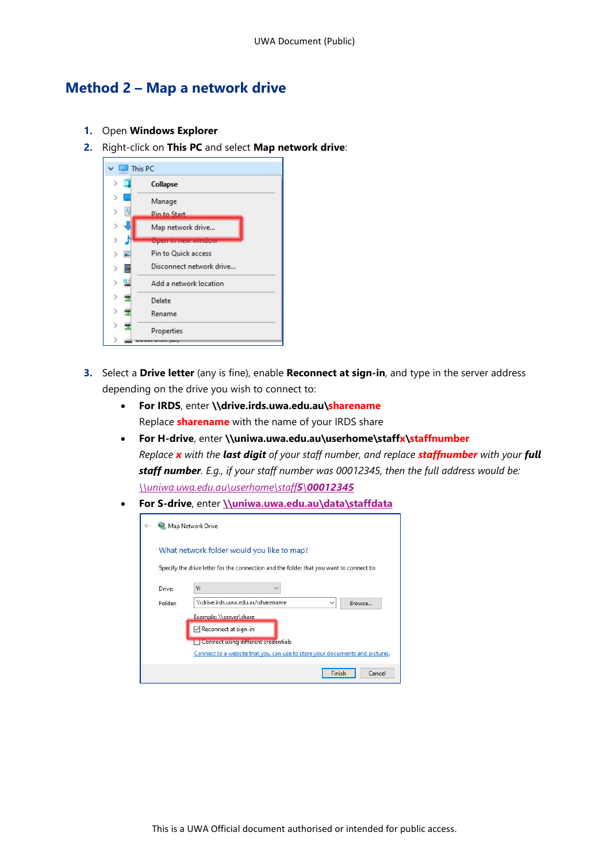## **Method 2 – Map a network drive**

- **1.** Open **Windows Explorer**
- **2.** Right-click on **This PC** and select **Map network drive**:



- **3.** Select a **Drive letter** (any is fine), enable **Reconnect at sign-in**, and type in the server address depending on the drive you wish to connect to:
	- **For IRDS**, enter **\\drive.irds.uwa.edu.au\sharename** Replace **sharename** with the name of your IRDS share
	- **For H-drive**, enter **\\uniwa.uwa.edu.au\userhome\staffx\staffnumber** *Replace x with the last digit of your staff number, and replace staffnumber with your full staff number. E.g., if your staff number was 00012345, then the full address would be: [\\uniwa.uwa.edu.au\userhome\staff](file://uniwa.uwa.edu.au/userhome/staff5/00012345)5\00012345*
	- **For S-drive**, enter **[\\uniwa.uwa.edu.au\data\staffdata](file://uniwa.uwa.edu.au/data/staffdata)**

|                                                                                         | Map Network Drive                                                           |  |  |  |
|-----------------------------------------------------------------------------------------|-----------------------------------------------------------------------------|--|--|--|
|                                                                                         | What network folder would you like to map?                                  |  |  |  |
| Specify the drive letter for the connection and the folder that you want to connect to: |                                                                             |  |  |  |
| Drive:                                                                                  | Υ:                                                                          |  |  |  |
| Folder:                                                                                 | \\drive.irds.uwa.edu.au\sharename<br>Browse<br>$\checkmark$                 |  |  |  |
|                                                                                         | Example: \\server\share                                                     |  |  |  |
|                                                                                         | Reconnect at sign-in                                                        |  |  |  |
|                                                                                         | Connect using different credentials                                         |  |  |  |
|                                                                                         | Connect to a website that you can use to store your documents and pictures. |  |  |  |
|                                                                                         | Finish<br>Cancel                                                            |  |  |  |